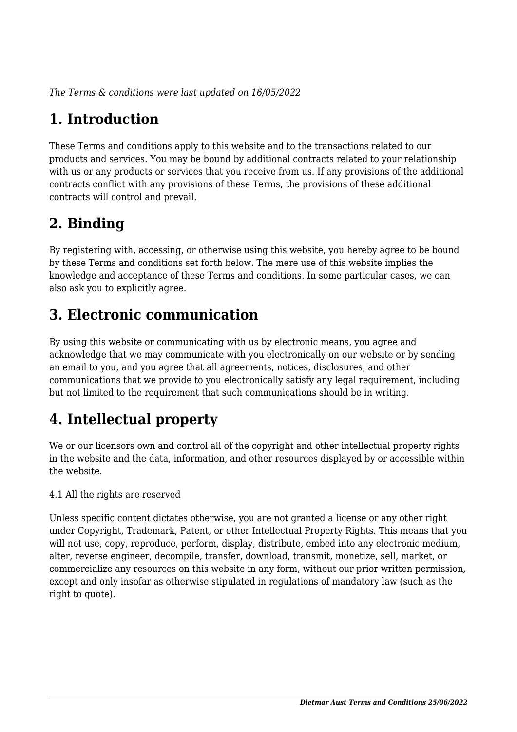*The Terms & conditions were last updated on 16/05/2022*

# **1. Introduction**

These Terms and conditions apply to this website and to the transactions related to our products and services. You may be bound by additional contracts related to your relationship with us or any products or services that you receive from us. If any provisions of the additional contracts conflict with any provisions of these Terms, the provisions of these additional contracts will control and prevail.

# **2. Binding**

By registering with, accessing, or otherwise using this website, you hereby agree to be bound by these Terms and conditions set forth below. The mere use of this website implies the knowledge and acceptance of these Terms and conditions. In some particular cases, we can also ask you to explicitly agree.

# **3. Electronic communication**

By using this website or communicating with us by electronic means, you agree and acknowledge that we may communicate with you electronically on our website or by sending an email to you, and you agree that all agreements, notices, disclosures, and other communications that we provide to you electronically satisfy any legal requirement, including but not limited to the requirement that such communications should be in writing.

# **4. Intellectual property**

We or our licensors own and control all of the copyright and other intellectual property rights in the website and the data, information, and other resources displayed by or accessible within the website.

4.1 All the rights are reserved

Unless specific content dictates otherwise, you are not granted a license or any other right under Copyright, Trademark, Patent, or other Intellectual Property Rights. This means that you will not use, copy, reproduce, perform, display, distribute, embed into any electronic medium, alter, reverse engineer, decompile, transfer, download, transmit, monetize, sell, market, or commercialize any resources on this website in any form, without our prior written permission, except and only insofar as otherwise stipulated in regulations of mandatory law (such as the right to quote).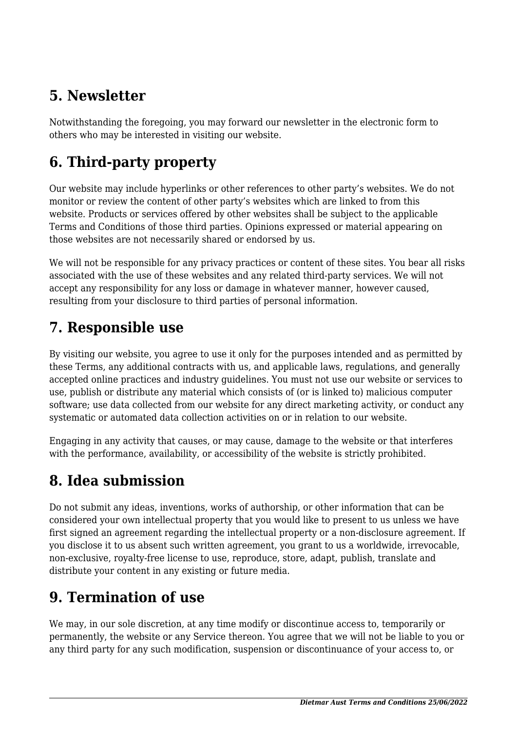## **5. Newsletter**

Notwithstanding the foregoing, you may forward our newsletter in the electronic form to others who may be interested in visiting our website.

# **6. Third-party property**

Our website may include hyperlinks or other references to other party's websites. We do not monitor or review the content of other party's websites which are linked to from this website. Products or services offered by other websites shall be subject to the applicable Terms and Conditions of those third parties. Opinions expressed or material appearing on those websites are not necessarily shared or endorsed by us.

We will not be responsible for any privacy practices or content of these sites. You bear all risks associated with the use of these websites and any related third-party services. We will not accept any responsibility for any loss or damage in whatever manner, however caused, resulting from your disclosure to third parties of personal information.

### **7. Responsible use**

By visiting our website, you agree to use it only for the purposes intended and as permitted by these Terms, any additional contracts with us, and applicable laws, regulations, and generally accepted online practices and industry guidelines. You must not use our website or services to use, publish or distribute any material which consists of (or is linked to) malicious computer software; use data collected from our website for any direct marketing activity, or conduct any systematic or automated data collection activities on or in relation to our website.

Engaging in any activity that causes, or may cause, damage to the website or that interferes with the performance, availability, or accessibility of the website is strictly prohibited.

## **8. Idea submission**

Do not submit any ideas, inventions, works of authorship, or other information that can be considered your own intellectual property that you would like to present to us unless we have first signed an agreement regarding the intellectual property or a non-disclosure agreement. If you disclose it to us absent such written agreement, you grant to us a worldwide, irrevocable, non-exclusive, royalty-free license to use, reproduce, store, adapt, publish, translate and distribute your content in any existing or future media.

## **9. Termination of use**

We may, in our sole discretion, at any time modify or discontinue access to, temporarily or permanently, the website or any Service thereon. You agree that we will not be liable to you or any third party for any such modification, suspension or discontinuance of your access to, or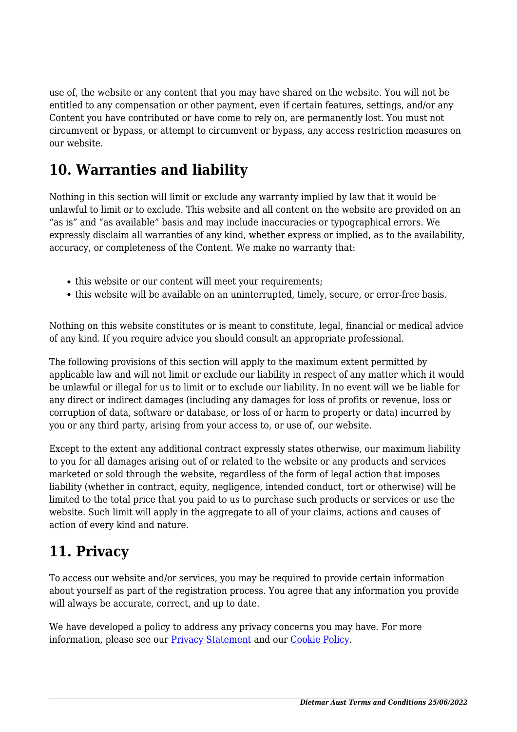use of, the website or any content that you may have shared on the website. You will not be entitled to any compensation or other payment, even if certain features, settings, and/or any Content you have contributed or have come to rely on, are permanently lost. You must not circumvent or bypass, or attempt to circumvent or bypass, any access restriction measures on our website.

### **10. Warranties and liability**

Nothing in this section will limit or exclude any warranty implied by law that it would be unlawful to limit or to exclude. This website and all content on the website are provided on an "as is" and "as available" basis and may include inaccuracies or typographical errors. We expressly disclaim all warranties of any kind, whether express or implied, as to the availability, accuracy, or completeness of the Content. We make no warranty that:

- this website or our content will meet your requirements;
- this website will be available on an uninterrupted, timely, secure, or error-free basis.

Nothing on this website constitutes or is meant to constitute, legal, financial or medical advice of any kind. If you require advice you should consult an appropriate professional.

The following provisions of this section will apply to the maximum extent permitted by applicable law and will not limit or exclude our liability in respect of any matter which it would be unlawful or illegal for us to limit or to exclude our liability. In no event will we be liable for any direct or indirect damages (including any damages for loss of profits or revenue, loss or corruption of data, software or database, or loss of or harm to property or data) incurred by you or any third party, arising from your access to, or use of, our website.

Except to the extent any additional contract expressly states otherwise, our maximum liability to you for all damages arising out of or related to the website or any products and services marketed or sold through the website, regardless of the form of legal action that imposes liability (whether in contract, equity, negligence, intended conduct, tort or otherwise) will be limited to the total price that you paid to us to purchase such products or services or use the website. Such limit will apply in the aggregate to all of your claims, actions and causes of action of every kind and nature.

### **11. Privacy**

To access our website and/or services, you may be required to provide certain information about yourself as part of the registration process. You agree that any information you provide will always be accurate, correct, and up to date.

We have developed a policy to address any privacy concerns you may have. For more information, please see our **Privacy Statement** and our **[Cookie Policy](https://dietmaraust.com/cookie-richtlinie-eu/)**.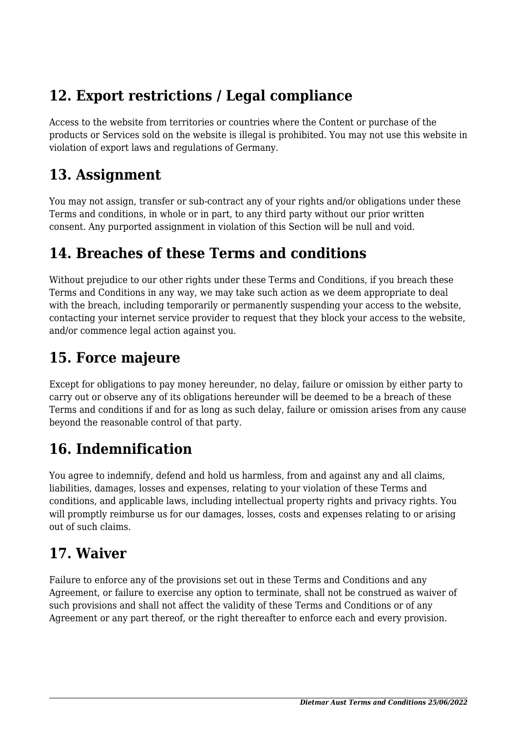## **12. Export restrictions / Legal compliance**

Access to the website from territories or countries where the Content or purchase of the products or Services sold on the website is illegal is prohibited. You may not use this website in violation of export laws and regulations of Germany.

#### **13. Assignment**

You may not assign, transfer or sub-contract any of your rights and/or obligations under these Terms and conditions, in whole or in part, to any third party without our prior written consent. Any purported assignment in violation of this Section will be null and void.

### **14. Breaches of these Terms and conditions**

Without prejudice to our other rights under these Terms and Conditions, if you breach these Terms and Conditions in any way, we may take such action as we deem appropriate to deal with the breach, including temporarily or permanently suspending your access to the website, contacting your internet service provider to request that they block your access to the website, and/or commence legal action against you.

## **15. Force majeure**

Except for obligations to pay money hereunder, no delay, failure or omission by either party to carry out or observe any of its obligations hereunder will be deemed to be a breach of these Terms and conditions if and for as long as such delay, failure or omission arises from any cause beyond the reasonable control of that party.

# **16. Indemnification**

You agree to indemnify, defend and hold us harmless, from and against any and all claims, liabilities, damages, losses and expenses, relating to your violation of these Terms and conditions, and applicable laws, including intellectual property rights and privacy rights. You will promptly reimburse us for our damages, losses, costs and expenses relating to or arising out of such claims.

## **17. Waiver**

Failure to enforce any of the provisions set out in these Terms and Conditions and any Agreement, or failure to exercise any option to terminate, shall not be construed as waiver of such provisions and shall not affect the validity of these Terms and Conditions or of any Agreement or any part thereof, or the right thereafter to enforce each and every provision.